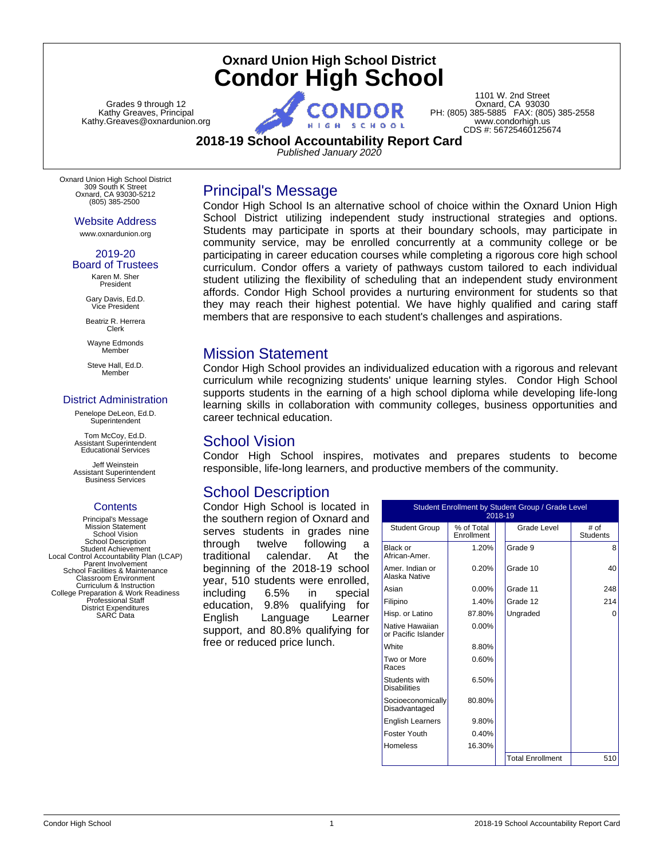# **Oxnard Union High School District Condor High School**

Grades 9 through 12 Kathy Greaves, Principal Kathy.Greaves@oxnardunion.org

1101 W. 2nd Street Oxnard, CA 93030 PH: (805) 385-5885 FAX: (805) 385-2558 www.condorhigh.us CDS #: 56725460125674

### **2018-19 School Accountability Report Card**

*Published January 2020*

Oxnard Union High School District 309 South K Street Oxnard, CA 93030-5212 (805) 385-2500

Website Address

www.oxnardunion.org

2019-20 Board of Trustees

Karen M. Sher President Gary Davis, Ed.D.

Vice President Beatriz R. Herrera

Clerk Wayne Edmonds Member

Steve Hall, Ed.D. Member

### District Administration

Penelope DeLeon, Ed.D. **Superintendent** 

Tom McCoy, Ed.D. Assistant Superintendent Educational Services

Jeff Weinstein Assistant Superintendent Business Services

### **Contents**

Principal's Message Mission Statement School Vision School Description Student Achievement Local Control Accountability Plan (LCAP) Parent Involvement School Facilities & Maintenance Classroom Environment Curriculum & Instruction College Preparation & Work Readiness Professional Staff District Expenditures SARC Data

Condor High School Is an alternative school of choice within the Oxnard Union High School District utilizing independent study instructional strategies and options. Students may participate in sports at their boundary schools, may participate in community service, may be enrolled concurrently at a community college or be participating in career education courses while completing a rigorous core high school curriculum. Condor offers a variety of pathways custom tailored to each individual student utilizing the flexibility of scheduling that an independent study environment affords. Condor High School provides a nurturing environment for students so that they may reach their highest potential. We have highly qualified and caring staff members that are responsive to each student's challenges and aspirations.

## Mission Statement

Principal's Message

Condor High School provides an individualized education with a rigorous and relevant curriculum while recognizing students' unique learning styles. Condor High School supports students in the earning of a high school diploma while developing life-long learning skills in collaboration with community colleges, business opportunities and career technical education.

### School Vision

Condor High School inspires, motivates and prepares students to become responsible, life-long learners, and productive members of the community.

## School Description

Condor High School is located in the southern region of Oxnard and serves students in grades nine through twelve following a traditional calendar. At the beginning of the 2018-19 school year, 510 students were enrolled, including 6.5% in special education, 9.8% qualifying for English Language Learner support, and 80.8% qualifying for free or reduced price lunch.

| Student Enrollment by Student Group / Grade Level<br>2018-19 |                          |  |                         |                         |
|--------------------------------------------------------------|--------------------------|--|-------------------------|-------------------------|
| <b>Student Group</b>                                         | % of Total<br>Enrollment |  | Grade Level             | # of<br><b>Students</b> |
| Black or<br>African-Amer.                                    | 1.20%                    |  | Grade 9                 | 8                       |
| Amer. Indian or<br>Alaska Native                             | 0.20%                    |  | Grade 10                | 40                      |
| Asian                                                        | $0.00\%$                 |  | Grade 11                | 248                     |
| Filipino                                                     | 1.40%                    |  | Grade 12                | 214                     |
| Hisp. or Latino                                              | 87.80%                   |  | Ungraded                | ი                       |
| Native Hawaiian<br>or Pacific Islander                       | $0.00\%$                 |  |                         |                         |
| White                                                        | 8.80%                    |  |                         |                         |
| Two or More<br>Races                                         | 0.60%                    |  |                         |                         |
| Students with<br><b>Disabilities</b>                         | 6.50%                    |  |                         |                         |
| Socioeconomically<br>Disadvantaged                           | 80.80%                   |  |                         |                         |
| <b>English Learners</b>                                      | 9.80%                    |  |                         |                         |
| Foster Youth                                                 | 0.40%                    |  |                         |                         |
| Homeless                                                     | 16.30%                   |  |                         |                         |
|                                                              |                          |  | <b>Total Enrollment</b> | 510                     |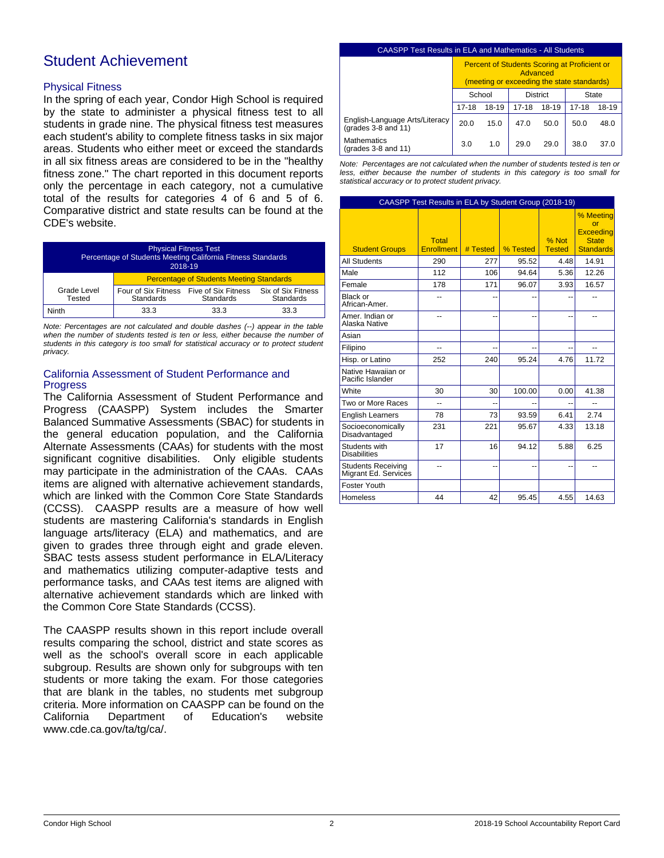# Student Achievement

### Physical Fitness

In the spring of each year, Condor High School is required by the state to administer a physical fitness test to all students in grade nine. The physical fitness test measures each student's ability to complete fitness tasks in six major areas. Students who either meet or exceed the standards in all six fitness areas are considered to be in the "healthy fitness zone." The chart reported in this document reports only the percentage in each category, not a cumulative total of the results for categories 4 of 6 and 5 of 6. Comparative district and state results can be found at the CDE's website.

| <b>Physical Fitness Test</b><br>Percentage of Students Meeting California Fitness Standards<br>2018-19 |                                                             |                  |                                 |  |
|--------------------------------------------------------------------------------------------------------|-------------------------------------------------------------|------------------|---------------------------------|--|
|                                                                                                        | <b>Percentage of Students Meeting Standards</b>             |                  |                                 |  |
| Grade Level<br>Tested                                                                                  | Four of Six Fitness Five of Six Fitness<br><b>Standards</b> | <b>Standards</b> | Six of Six Fitness<br>Standards |  |
| Ninth                                                                                                  | 33.3                                                        | 33.3             | 33.3                            |  |

*Note: Percentages are not calculated and double dashes (--) appear in the table when the number of students tested is ten or less, either because the number of students in this category is too small for statistical accuracy or to protect student privacy.*

### California Assessment of Student Performance and Progress

The California Assessment of Student Performance and Progress (CAASPP) System includes the Smarter Balanced Summative Assessments (SBAC) for students in the general education population, and the California Alternate Assessments (CAAs) for students with the most significant cognitive disabilities. Only eligible students may participate in the administration of the CAAs. CAAs items are aligned with alternative achievement standards, which are linked with the Common Core State Standards (CCSS). CAASPP results are a measure of how well students are mastering California's standards in English language arts/literacy (ELA) and mathematics, and are given to grades three through eight and grade eleven. SBAC tests assess student performance in ELA/Literacy and mathematics utilizing computer-adaptive tests and performance tasks, and CAAs test items are aligned with alternative achievement standards which are linked with the Common Core State Standards (CCSS).

The CAASPP results shown in this report include overall results comparing the school, district and state scores as well as the school's overall score in each applicable subgroup. Results are shown only for subgroups with ten students or more taking the exam. For those categories that are blank in the tables, no students met subgroup criteria. More information on CAASPP can be found on the California Department of Education's website www.cde.ca.gov/ta/tg/ca/.

#### CAASPP Test Results in ELA and Mathematics - All Students Percent of Students Scoring at Proficient or Advanced (meeting or exceeding the state standards) School District State 17-18 18-19 17-18 18-19 17-18 18-19 English-Language Arts/Literacy English-Language Arts/Literacy | 20.0 15.0 | 47.0 50.0 | 50.0 48.0 Mathematics mathematics<br>(grades 3-8 and 11) 3.0 1.0 29.0 29.0 38.0 37.0

*Note: Percentages are not calculated when the number of students tested is ten or less, either because the number of students in this category is too small for statistical accuracy or to protect student privacy.*

| CAASPP Test Results in ELA by Student Group (2018-19) |                                   |          |          |                        |                                                                          |
|-------------------------------------------------------|-----------------------------------|----------|----------|------------------------|--------------------------------------------------------------------------|
| <b>Student Groups</b>                                 | <b>Total</b><br><b>Enrollment</b> | # Tested | % Tested | % Not<br><b>Tested</b> | % Meeting<br>$\alpha$ r<br>Exceeding<br><b>State</b><br><b>Standards</b> |
| <b>All Students</b>                                   | 290                               | 277      | 95.52    | 4.48                   | 14.91                                                                    |
| Male                                                  | 112                               | 106      | 94.64    | 5.36                   | 12.26                                                                    |
| Female                                                | 178                               | 171      | 96.07    | 3.93                   | 16.57                                                                    |
| Black or<br>African-Amer.                             |                                   | --       |          |                        |                                                                          |
| Amer. Indian or<br>Alaska Native                      | --                                | --       |          | --                     |                                                                          |
| Asian                                                 |                                   |          |          |                        |                                                                          |
| Filipino                                              |                                   | --       |          |                        |                                                                          |
| Hisp. or Latino                                       | 252                               | 240      | 95.24    | 4.76                   | 11.72                                                                    |
| Native Hawaiian or<br>Pacific Islander                |                                   |          |          |                        |                                                                          |
| White                                                 | 30                                | 30       | 100.00   | 0.00                   | 41.38                                                                    |
| Two or More Races                                     | $\overline{a}$                    | --       |          | --                     | --                                                                       |
| <b>English Learners</b>                               | 78                                | 73       | 93.59    | 6.41                   | 2.74                                                                     |
| Socioeconomically<br>Disadvantaged                    | 231                               | 221      | 95.67    | 4.33                   | 13.18                                                                    |
| Students with<br><b>Disabilities</b>                  | 17                                | 16       | 94.12    | 5.88                   | 6.25                                                                     |
| <b>Students Receiving</b><br>Migrant Ed. Services     | $-1$                              | --       | --       | --                     |                                                                          |
| Foster Youth                                          |                                   |          |          |                        |                                                                          |
| Homeless                                              | 44                                | 42       | 95.45    | 4.55                   | 14.63                                                                    |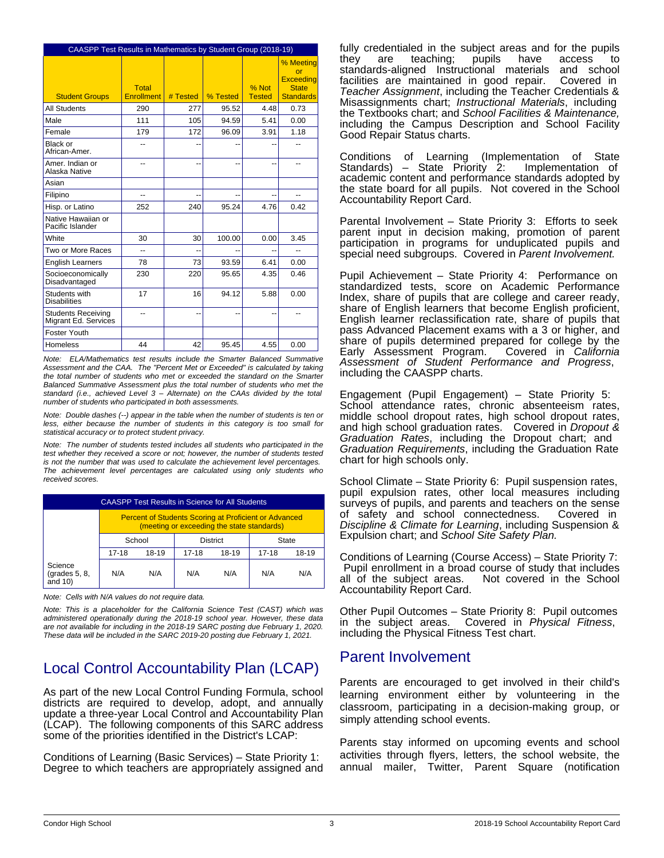|                                                   | CAASPP Test Results in Mathematics by Student Group (2018-19) |          |          |                        |                                                                         |  |
|---------------------------------------------------|---------------------------------------------------------------|----------|----------|------------------------|-------------------------------------------------------------------------|--|
| <b>Student Groups</b>                             | <b>Total</b><br><b>Enrollment</b>                             | # Tested | % Tested | % Not<br><b>Tested</b> | % Meeting<br>or<br><b>Exceeding</b><br><b>State</b><br><b>Standards</b> |  |
| <b>All Students</b>                               | 290                                                           | 277      | 95.52    | 4.48                   | 0.73                                                                    |  |
| Male                                              | 111                                                           | 105      | 94.59    | 5.41                   | 0.00                                                                    |  |
| Female                                            | 179                                                           | 172      | 96.09    | 3.91                   | 1.18                                                                    |  |
| Black or<br>African-Amer.                         | $-$                                                           | --       | ٠.       | --                     | --                                                                      |  |
| Amer. Indian or<br>Alaska Native                  | $-$                                                           | --       | --       | --                     | --                                                                      |  |
| Asian                                             |                                                               |          |          |                        |                                                                         |  |
| Filipino                                          |                                                               |          |          |                        |                                                                         |  |
| Hisp. or Latino                                   | 252                                                           | 240      | 95.24    | 4.76                   | 0.42                                                                    |  |
| Native Hawaiian or<br>Pacific Islander            |                                                               |          |          |                        |                                                                         |  |
| White                                             | 30                                                            | 30       | 100.00   | 0.00                   | 3.45                                                                    |  |
| Two or More Races                                 | ۵.                                                            |          |          | --                     | $\overline{\phantom{a}}$                                                |  |
| <b>English Learners</b>                           | 78                                                            | 73       | 93.59    | 6.41                   | 0.00                                                                    |  |
| Socioeconomically<br>Disadvantaged                | 230                                                           | 220      | 95.65    | 4.35                   | 0.46                                                                    |  |
| Students with<br><b>Disabilities</b>              | 17                                                            | 16       | 94.12    | 5.88                   | 0.00                                                                    |  |
| <b>Students Receiving</b><br>Migrant Ed. Services | --                                                            | $-$      | --       | --                     |                                                                         |  |
| Foster Youth                                      |                                                               |          |          |                        |                                                                         |  |
| Homeless                                          | 44                                                            | 42       | 95.45    | 4.55                   | 0.00                                                                    |  |

*Note: ELA/Mathematics test results include the Smarter Balanced Summative Assessment and the CAA. The "Percent Met or Exceeded" is calculated by taking the total number of students who met or exceeded the standard on the Smarter Balanced Summative Assessment plus the total number of students who met the standard (i.e., achieved Level 3 – Alternate) on the CAAs divided by the total number of students who participated in both assessments.*

*Note: Double dashes (--) appear in the table when the number of students is ten or less, either because the number of students in this category is too small for statistical accuracy or to protect student privacy.*

*Note: The number of students tested includes all students who participated in the test whether they received a score or not; however, the number of students tested is not the number that was used to calculate the achievement level percentages. The achievement level percentages are calculated using only students who received scores.*

| <b>CAASPP Test Results in Science for All Students</b> |                                                                                                            |       |       |       |       |       |
|--------------------------------------------------------|------------------------------------------------------------------------------------------------------------|-------|-------|-------|-------|-------|
|                                                        | <b>Percent of Students Scoring at Proficient or Advanced</b><br>(meeting or exceeding the state standards) |       |       |       |       |       |
|                                                        | <b>District</b><br>School<br>State                                                                         |       |       |       |       |       |
|                                                        | $17 - 18$                                                                                                  | 18-19 | 17-18 | 18-19 | 17-18 | 18-19 |
| Science<br>(grades 5, 8,<br>and $10$ )                 | N/A                                                                                                        | N/A   | N/A   | N/A   | N/A   | N/A   |

*Note: Cells with N/A values do not require data.*

*Note: This is a placeholder for the California Science Test (CAST) which was administered operationally during the 2018-19 school year. However, these data are not available for including in the 2018-19 SARC posting due February 1, 2020. These data will be included in the SARC 2019-20 posting due February 1, 2021.*

# Local Control Accountability Plan (LCAP)

As part of the new Local Control Funding Formula, school districts are required to develop, adopt, and annually update a three-year Local Control and Accountability Plan (LCAP). The following components of this SARC address some of the priorities identified in the District's LCAP:

Conditions of Learning (Basic Services) – State Priority 1: Degree to which teachers are appropriately assigned and fully credentialed in the subject areas and for the pupils they are teaching; pupils have access standards-aligned Instructional materials and school<br>facilities are maintained in good repair. Covered in facilities are maintained in good repair. *Teacher Assignment*, including the Teacher Credentials & Misassignments chart; *Instructional Materials*, including the Textbooks chart; and *School Facilities & Maintenance,* including the Campus Description and School Facility Good Repair Status charts.

Conditions of Learning (Implementation of State Standards) – State Priority 2: academic content and performance standards adopted by the state board for all pupils. Not covered in the School Accountability Report Card.

Parental Involvement – State Priority 3: Efforts to seek parent input in decision making, promotion of parent participation in programs for unduplicated pupils and special need subgroups. Covered in *Parent Involvement.*

Pupil Achievement – State Priority 4: Performance on standardized tests, score on Academic Performance Index, share of pupils that are college and career ready, share of English learners that become English proficient, English learner reclassification rate, share of pupils that pass Advanced Placement exams with a 3 or higher, and share of pupils determined prepared for college by the Early Assessment Program. Covered in *California Assessment of Student Performance and Progress*, including the CAASPP charts.

Engagement (Pupil Engagement) – State Priority 5: School attendance rates, chronic absenteeism rates, middle school dropout rates, high school dropout rates, and high school graduation rates. Covered in *Dropout & Graduation Rates*, including the Dropout chart; and *Graduation Requirements*, including the Graduation Rate chart for high schools only.

School Climate – State Priority 6: Pupil suspension rates, pupil expulsion rates, other local measures including surveys of pupils, and parents and teachers on the sense of safety and school connectedness. Covered in *Discipline & Climate for Learning*, including Suspension & Expulsion chart; and *School Site Safety Plan.*

Conditions of Learning (Course Access) – State Priority 7: Pupil enrollment in a broad course of study that includes<br>all of the subject areas. Not covered in the School Not covered in the School Accountability Report Card.

Other Pupil Outcomes – State Priority 8: Pupil outcomes in the subject areas. Covered in *Physical Fitness*, including the Physical Fitness Test chart.

## Parent Involvement

Parents are encouraged to get involved in their child's learning environment either by volunteering in the classroom, participating in a decision-making group, or simply attending school events.

Parents stay informed on upcoming events and school activities through flyers, letters, the school website, the annual mailer, Twitter, Parent Square (notification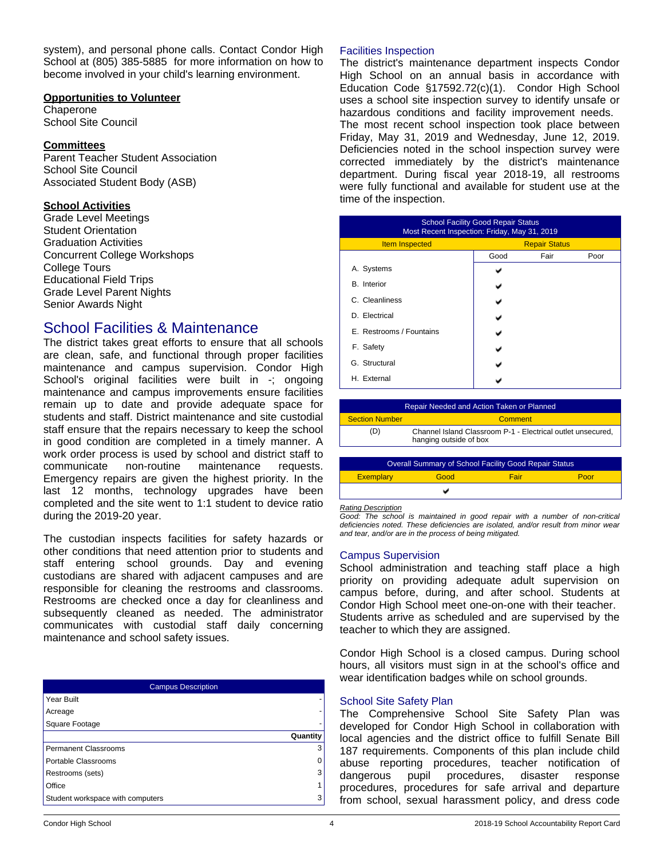system), and personal phone calls. Contact Condor High School at (805) 385-5885 for more information on how to become involved in your child's learning environment.

#### **Opportunities to Volunteer**

**Chaperone** School Site Council

### **Committees**

Parent Teacher Student Association School Site Council Associated Student Body (ASB)

### **School Activities**

Grade Level Meetings Student Orientation Graduation Activities Concurrent College Workshops College Tours Educational Field Trips Grade Level Parent Nights Senior Awards Night

## School Facilities & Maintenance

The district takes great efforts to ensure that all schools are clean, safe, and functional through proper facilities maintenance and campus supervision. Condor High School's original facilities were built in -; ongoing maintenance and campus improvements ensure facilities remain up to date and provide adequate space for students and staff. District maintenance and site custodial staff ensure that the repairs necessary to keep the school in good condition are completed in a timely manner. A work order process is used by school and district staff to communicate non-routine maintenance requests. Emergency repairs are given the highest priority. In the last 12 months, technology upgrades have been completed and the site went to 1:1 student to device ratio during the 2019-20 year.

The custodian inspects facilities for safety hazards or other conditions that need attention prior to students and staff entering school grounds. Day and evening custodians are shared with adjacent campuses and are responsible for cleaning the restrooms and classrooms. Restrooms are checked once a day for cleanliness and subsequently cleaned as needed. The administrator communicates with custodial staff daily concerning maintenance and school safety issues.

| Campus Description               |          |  |
|----------------------------------|----------|--|
| Year Built                       |          |  |
| Acreage                          |          |  |
| Square Footage                   |          |  |
|                                  | Quantity |  |
| <b>Permanent Classrooms</b>      | 3        |  |
| Portable Classrooms              | 0        |  |
| Restrooms (sets)                 | 3        |  |
| Office                           |          |  |
| Student workspace with computers | 3        |  |

### Facilities Inspection

The district's maintenance department inspects Condor High School on an annual basis in accordance with Education Code §17592.72(c)(1). Condor High School uses a school site inspection survey to identify unsafe or hazardous conditions and facility improvement needs. The most recent school inspection took place between Friday, May 31, 2019 and Wednesday, June 12, 2019. Deficiencies noted in the school inspection survey were corrected immediately by the district's maintenance department. During fiscal year 2018-19, all restrooms were fully functional and available for student use at the time of the inspection.

| <b>School Facility Good Repair Status</b><br>Most Recent Inspection: Friday, May 31, 2019 |      |                      |      |  |
|-------------------------------------------------------------------------------------------|------|----------------------|------|--|
| <b>Item Inspected</b>                                                                     |      | <b>Repair Status</b> |      |  |
|                                                                                           | Good | Fair                 | Poor |  |
| A. Systems                                                                                |      |                      |      |  |
| <b>B.</b> Interior                                                                        |      |                      |      |  |
| C. Cleanliness                                                                            |      |                      |      |  |
| D. Electrical                                                                             |      |                      |      |  |
| E. Restrooms / Fountains                                                                  |      |                      |      |  |
| F. Safety                                                                                 |      |                      |      |  |
| G. Structural                                                                             |      |                      |      |  |
| H External                                                                                |      |                      |      |  |

| Repair Needed and Action Taken or Planned                    |                                                                                       |         |      |  |
|--------------------------------------------------------------|---------------------------------------------------------------------------------------|---------|------|--|
| <b>Section Number</b>                                        |                                                                                       | Comment |      |  |
| (D                                                           | Channel Island Classroom P-1 - Electrical outlet unsecured,<br>hanging outside of box |         |      |  |
|                                                              |                                                                                       |         |      |  |
| <b>Overall Summary of School Facility Good Repair Status</b> |                                                                                       |         |      |  |
| <b>Exemplary</b>                                             | Good                                                                                  | Fair    | Poor |  |
|                                                              |                                                                                       |         |      |  |

*Rating Description*

*Good: The school is maintained in good repair with a number of non-critical deficiencies noted. These deficiencies are isolated, and/or result from minor wear and tear, and/or are in the process of being mitigated.*

### Campus Supervision

School administration and teaching staff place a high priority on providing adequate adult supervision on campus before, during, and after school. Students at Condor High School meet one-on-one with their teacher. Students arrive as scheduled and are supervised by the teacher to which they are assigned.

Condor High School is a closed campus. During school hours, all visitors must sign in at the school's office and wear identification badges while on school grounds.

### School Site Safety Plan

The Comprehensive School Site Safety Plan was developed for Condor High School in collaboration with local agencies and the district office to fulfill Senate Bill 187 requirements. Components of this plan include child abuse reporting procedures, teacher notification of dangerous pupil procedures, disaster response procedures, procedures for safe arrival and departure from school, sexual harassment policy, and dress code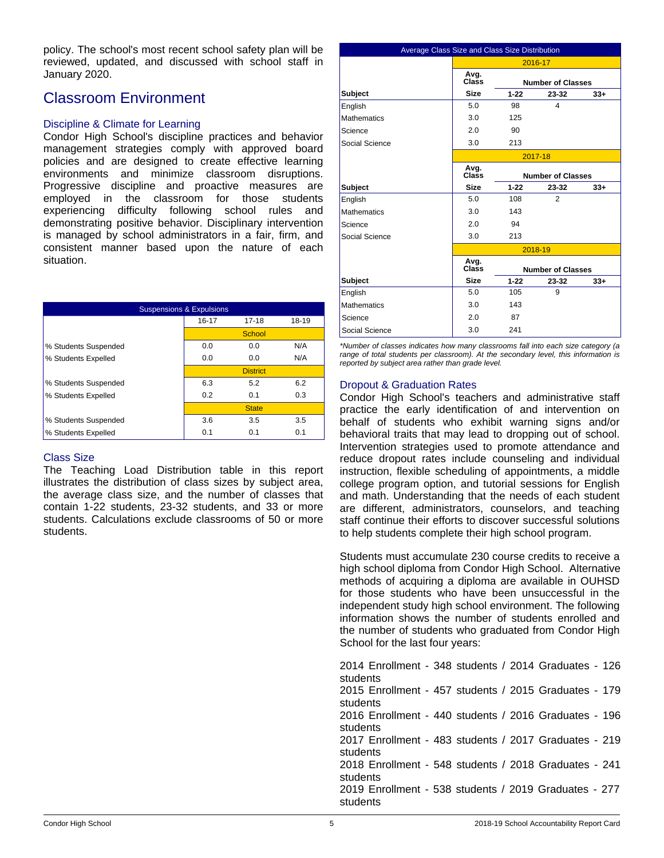policy. The school's most recent school safety plan will be reviewed, updated, and discussed with school staff in January 2020.

## Classroom Environment

### Discipline & Climate for Learning

Condor High School's discipline practices and behavior management strategies comply with approved board policies and are designed to create effective learning environments and minimize classroom disruptions. Progressive discipline and proactive measures are employed in the classroom for those students experiencing difficulty following school rules and demonstrating positive behavior. Disciplinary intervention is managed by school administrators in a fair, firm, and consistent manner based upon the nature of each situation.

| <b>Suspensions &amp; Expulsions</b> |       |                 |       |  |
|-------------------------------------|-------|-----------------|-------|--|
|                                     | 16-17 | $17-18$         | 18-19 |  |
|                                     |       | School          |       |  |
| % Students Suspended                | 0.0   | 0.0             | N/A   |  |
| % Students Expelled                 | 0.0   | 0.0             | N/A   |  |
|                                     |       | <b>District</b> |       |  |
| % Students Suspended                | 6.3   | 5.2             | 6.2   |  |
| % Students Expelled                 | 0.2   | 0.1             | 0.3   |  |
|                                     |       | <b>State</b>    |       |  |
| % Students Suspended                | 3.6   | 3.5             | 3.5   |  |
| % Students Expelled                 | 0.1   | 0.1             | 0.1   |  |

### Class Size

The Teaching Load Distribution table in this report illustrates the distribution of class sizes by subject area, the average class size, and the number of classes that contain 1-22 students, 23-32 students, and 33 or more students. Calculations exclude classrooms of 50 or more students.

| Average Class Size and Class Size Distribution |               |          |                          |       |
|------------------------------------------------|---------------|----------|--------------------------|-------|
|                                                |               |          | 2016-17                  |       |
|                                                | Avg.<br>Class |          | <b>Number of Classes</b> |       |
| <b>Subject</b>                                 | <b>Size</b>   | $1 - 22$ | 23-32                    | $33+$ |
| English                                        | 5.0           | 98       | $\overline{\mathbf{A}}$  |       |
| <b>Mathematics</b>                             | 3.0           | 125      |                          |       |
| Science                                        | 2.0           | 90       |                          |       |
| Social Science                                 | 3.0           | 213      |                          |       |
|                                                |               |          | 2017-18                  |       |
|                                                | Avg.<br>Class |          | <b>Number of Classes</b> |       |
| <b>Subject</b>                                 | <b>Size</b>   | $1 - 22$ | 23-32                    | $33+$ |
| English                                        | 5.0           | 108      | 2                        |       |
| <b>Mathematics</b>                             | 3.0           | 143      |                          |       |
| Science                                        | 2.0           | 94       |                          |       |
| Social Science                                 | 3.0           | 213      |                          |       |
|                                                |               |          | 2018-19                  |       |
|                                                | Avg.<br>Class |          | <b>Number of Classes</b> |       |
| <b>Subject</b>                                 | <b>Size</b>   | $1 - 22$ | 23-32                    | $33+$ |
| English                                        | 5.0           | 105      | 9                        |       |
| <b>Mathematics</b>                             | 3.0           | 143      |                          |       |
| Science                                        | 20            | 87       |                          |       |
| Social Science                                 | 3.0           | 241      |                          |       |

*\*Number of classes indicates how many classrooms fall into each size category (a range of total students per classroom). At the secondary level, this information is reported by subject area rather than grade level.*

### Dropout & Graduation Rates

Condor High School's teachers and administrative staff practice the early identification of and intervention on behalf of students who exhibit warning signs and/or behavioral traits that may lead to dropping out of school. Intervention strategies used to promote attendance and reduce dropout rates include counseling and individual instruction, flexible scheduling of appointments, a middle college program option, and tutorial sessions for English and math. Understanding that the needs of each student are different, administrators, counselors, and teaching staff continue their efforts to discover successful solutions to help students complete their high school program.

Students must accumulate 230 course credits to receive a high school diploma from Condor High School. Alternative methods of acquiring a diploma are available in OUHSD for those students who have been unsuccessful in the independent study high school environment. The following information shows the number of students enrolled and the number of students who graduated from Condor High School for the last four years:

2014 Enrollment - 348 students / 2014 Graduates - 126 students 2015 Enrollment - 457 students / 2015 Graduates - 179 students 2016 Enrollment - 440 students / 2016 Graduates - 196 students 2017 Enrollment - 483 students / 2017 Graduates - 219 students 2018 Enrollment - 548 students / 2018 Graduates - 241 students 2019 Enrollment - 538 students / 2019 Graduates - 277 students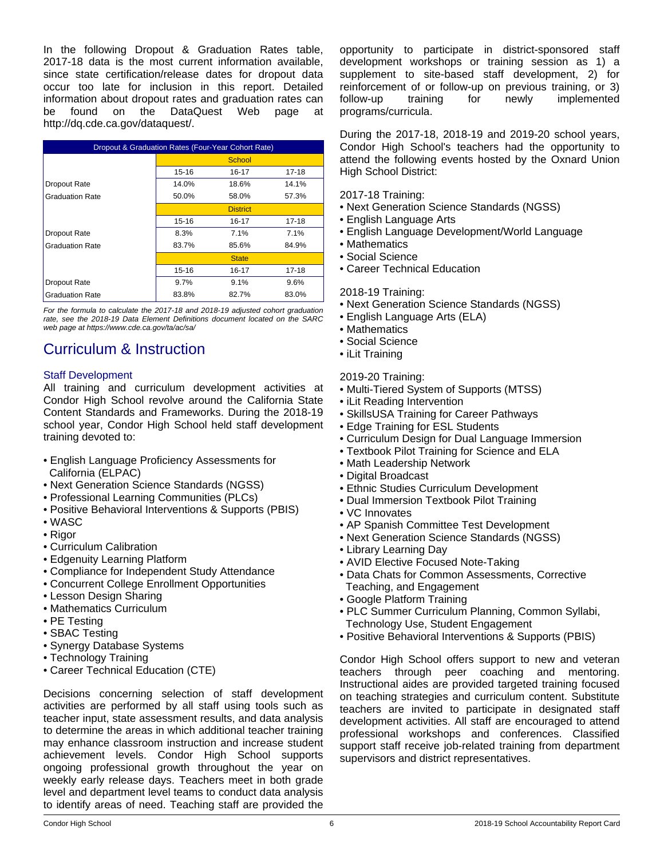In the following Dropout & Graduation Rates table, 2017-18 data is the most current information available, since state certification/release dates for dropout data occur too late for inclusion in this report. Detailed information about dropout rates and graduation rates can be found on the DataQuest Web page at http://dq.cde.ca.gov/dataquest/.

| Dropout & Graduation Rates (Four-Year Cohort Rate) |       |                 |           |  |
|----------------------------------------------------|-------|-----------------|-----------|--|
|                                                    |       | School          |           |  |
|                                                    | 15-16 | 16-17           | 17-18     |  |
| Dropout Rate                                       | 14.0% | 18.6%           | 14.1%     |  |
| <b>Graduation Rate</b>                             | 50.0% | 58.0%           | 57.3%     |  |
|                                                    |       | <b>District</b> |           |  |
|                                                    | 15-16 | 16-17           | $17 - 18$ |  |
| Dropout Rate                                       | 8.3%  | 7.1%            | 7.1%      |  |
| <b>Graduation Rate</b>                             | 83.7% | 85.6%           | 84.9%     |  |
|                                                    |       | <b>State</b>    |           |  |
|                                                    | 15-16 | 16-17           | 17-18     |  |
| Dropout Rate                                       | 9.7%  | 9.1%            | 9.6%      |  |
| <b>Graduation Rate</b>                             | 83.8% | 82.7%           | 83.0%     |  |

*For the formula to calculate the 2017-18 and 2018-19 adjusted cohort graduation rate, see the 2018-19 Data Element Definitions document located on the SARC web page at https://www.cde.ca.gov/ta/ac/sa/*

# Curriculum & Instruction

### Staff Development

All training and curriculum development activities at Condor High School revolve around the California State Content Standards and Frameworks. During the 2018-19 school year, Condor High School held staff development training devoted to:

- English Language Proficiency Assessments for California (ELPAC)
- Next Generation Science Standards (NGSS)
- Professional Learning Communities (PLCs)
- Positive Behavioral Interventions & Supports (PBIS)
- WASC
- Rigor
- Curriculum Calibration
- Edgenuity Learning Platform
- Compliance for Independent Study Attendance
- Concurrent College Enrollment Opportunities
- Lesson Design Sharing
- Mathematics Curriculum
- PE Testing
- SBAC Testing
- Synergy Database Systems
- Technology Training
- Career Technical Education (CTE)

Decisions concerning selection of staff development activities are performed by all staff using tools such as teacher input, state assessment results, and data analysis to determine the areas in which additional teacher training may enhance classroom instruction and increase student achievement levels. Condor High School supports ongoing professional growth throughout the year on weekly early release days. Teachers meet in both grade level and department level teams to conduct data analysis to identify areas of need. Teaching staff are provided the opportunity to participate in district-sponsored staff development workshops or training session as 1) a supplement to site-based staff development, 2) for reinforcement of or follow-up on previous training, or 3) follow-up training for newly implemented programs/curricula.

During the 2017-18, 2018-19 and 2019-20 school years, Condor High School's teachers had the opportunity to attend the following events hosted by the Oxnard Union High School District:

2017-18 Training:

- Next Generation Science Standards (NGSS)
- English Language Arts
- English Language Development/World Language
- Mathematics
- Social Science
- Career Technical Education

2018-19 Training:

- Next Generation Science Standards (NGSS)
- English Language Arts (ELA)
- Mathematics
- Social Science
- iLit Training

### 2019-20 Training:

- Multi-Tiered System of Supports (MTSS)
- iLit Reading Intervention
- SkillsUSA Training for Career Pathways
- Edge Training for ESL Students
- Curriculum Design for Dual Language Immersion
- Textbook Pilot Training for Science and ELA
- Math Leadership Network
- Digital Broadcast
- Ethnic Studies Curriculum Development
- Dual Immersion Textbook Pilot Training
- VC Innovates
- AP Spanish Committee Test Development
- Next Generation Science Standards (NGSS)
- Library Learning Day
- AVID Elective Focused Note-Taking
- Data Chats for Common Assessments, Corrective Teaching, and Engagement
- Google Platform Training
- PLC Summer Curriculum Planning, Common Syllabi, Technology Use, Student Engagement
- Positive Behavioral Interventions & Supports (PBIS)

Condor High School offers support to new and veteran teachers through peer coaching and mentoring. Instructional aides are provided targeted training focused on teaching strategies and curriculum content. Substitute teachers are invited to participate in designated staff development activities. All staff are encouraged to attend professional workshops and conferences. Classified support staff receive job-related training from department supervisors and district representatives.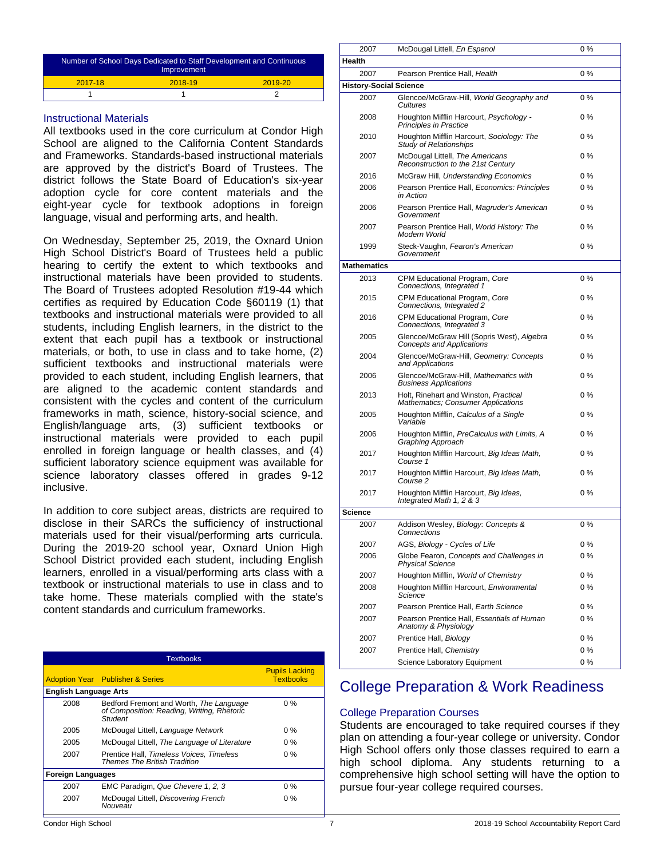| Number of School Days Dedicated to Staff Development and Continuous<br>Improvement |         |             |  |  |  |
|------------------------------------------------------------------------------------|---------|-------------|--|--|--|
| 2017-18                                                                            | 2018-19 | $2019 - 20$ |  |  |  |
|                                                                                    |         |             |  |  |  |

### Instructional Materials

All textbooks used in the core curriculum at Condor High School are aligned to the California Content Standards and Frameworks. Standards-based instructional materials are approved by the district's Board of Trustees. The district follows the State Board of Education's six-year adoption cycle for core content materials and the eight-year cycle for textbook adoptions in foreign language, visual and performing arts, and health.

On Wednesday, September 25, 2019, the Oxnard Union High School District's Board of Trustees held a public hearing to certify the extent to which textbooks and instructional materials have been provided to students. The Board of Trustees adopted Resolution #19-44 which certifies as required by Education Code §60119 (1) that textbooks and instructional materials were provided to all students, including English learners, in the district to the extent that each pupil has a textbook or instructional materials, or both, to use in class and to take home, (2) sufficient textbooks and instructional materials were provided to each student, including English learners, that are aligned to the academic content standards and consistent with the cycles and content of the curriculum frameworks in math, science, history-social science, and English/language arts, (3) sufficient textbooks or instructional materials were provided to each pupil enrolled in foreign language or health classes, and (4) sufficient laboratory science equipment was available for science laboratory classes offered in grades 9-12 inclusive.

In addition to core subject areas, districts are required to disclose in their SARCs the sufficiency of instructional materials used for their visual/performing arts curricula. During the 2019-20 school year, Oxnard Union High School District provided each student, including English learners, enrolled in a visual/performing arts class with a textbook or instructional materials to use in class and to take home. These materials complied with the state's content standards and curriculum frameworks.

| <b>Textbooks</b>         |                                                                                                  |                                           |  |  |  |  |
|--------------------------|--------------------------------------------------------------------------------------------------|-------------------------------------------|--|--|--|--|
|                          | <b>Adoption Year</b> Publisher & Series                                                          | <b>Pupils Lacking</b><br><b>Textbooks</b> |  |  |  |  |
|                          | <b>English Language Arts</b>                                                                     |                                           |  |  |  |  |
| 2008                     | Bedford Fremont and Worth, The Language<br>of Composition: Reading, Writing, Rhetoric<br>Student | $0\%$                                     |  |  |  |  |
| 2005                     | McDougal Littell, Language Network                                                               | $0\%$                                     |  |  |  |  |
| 2005                     | McDougal Littell, The Language of Literature                                                     | $0\%$                                     |  |  |  |  |
| 2007                     | Prentice Hall, Timeless Voices, Timeless<br><b>Themes The British Tradition</b>                  | 0 %                                       |  |  |  |  |
| <b>Foreign Languages</b> |                                                                                                  |                                           |  |  |  |  |
| 2007                     | EMC Paradigm, Que Chevere 1, 2, 3                                                                | $0\%$                                     |  |  |  |  |
| 2007                     | McDougal Littell, Discovering French<br>Nouveau                                                  | $0\%$                                     |  |  |  |  |

| 2007                          | McDougal Littell, En Espanol                                                   | $0\%$ |  |  |  |  |
|-------------------------------|--------------------------------------------------------------------------------|-------|--|--|--|--|
| Health                        |                                                                                |       |  |  |  |  |
| 2007                          | Pearson Prentice Hall, Health                                                  | $0\%$ |  |  |  |  |
| <b>History-Social Science</b> |                                                                                |       |  |  |  |  |
| 2007                          | Glencoe/McGraw-Hill, World Geography and<br>Cultures                           | $0\%$ |  |  |  |  |
| 2008                          | Houghton Mifflin Harcourt, Psychology -<br><b>Principles in Practice</b>       | $0\%$ |  |  |  |  |
| 2010                          | Houghton Mifflin Harcourt, Sociology: The<br><b>Study of Relationships</b>     | $0\%$ |  |  |  |  |
| 2007                          | McDougal Littell, The Americans<br>Reconstruction to the 21st Century          | $0\%$ |  |  |  |  |
| 2016                          | McGraw Hill, Understanding Economics                                           | $0\%$ |  |  |  |  |
| 2006                          | Pearson Prentice Hall, Economics: Principles<br>in Action                      | 0%    |  |  |  |  |
| 2006                          | Pearson Prentice Hall, Magruder's American<br>Government                       | $0\%$ |  |  |  |  |
| 2007                          | Pearson Prentice Hall, World History: The<br>Modern World                      | $0\%$ |  |  |  |  |
| 1999                          | Steck-Vaughn, Fearon's American<br>Government                                  | $0\%$ |  |  |  |  |
| <b>Mathematics</b>            |                                                                                |       |  |  |  |  |
| 2013                          | CPM Educational Program, Core<br>Connections, Integrated 1                     | $0\%$ |  |  |  |  |
| 2015                          | CPM Educational Program, Core<br>Connections, Integrated 2                     | $0\%$ |  |  |  |  |
| 2016                          | CPM Educational Program, Core<br>Connections, Integrated 3                     | $0\%$ |  |  |  |  |
| 2005                          | Glencoe/McGraw Hill (Sopris West), Algebra<br><b>Concepts and Applications</b> | $0\%$ |  |  |  |  |
| 2004                          | Glencoe/McGraw-Hill, Geometry: Concepts<br>and Applications                    | $0\%$ |  |  |  |  |
| 2006                          | Glencoe/McGraw-Hill, Mathematics with<br><b>Business Applications</b>          | $0\%$ |  |  |  |  |
| 2013                          | Holt, Rinehart and Winston, Practical<br>Mathematics; Consumer Applications    | $0\%$ |  |  |  |  |
| 2005                          | Houghton Mifflin, Calculus of a Single<br>Variable                             | $0\%$ |  |  |  |  |
| 2006                          | Houghton Mifflin, PreCalculus with Limits, A<br>Graphing Approach              | $0\%$ |  |  |  |  |
| 2017                          | Houghton Mifflin Harcourt, Big Ideas Math,<br>Course 1                         | $0\%$ |  |  |  |  |
| 2017                          | Houghton Mifflin Harcourt, Big Ideas Math,<br>Course 2                         | $0\%$ |  |  |  |  |
| 2017                          | Houghton Mifflin Harcourt, Big Ideas,<br>Integrated Math 1, 2 & 3              | $0\%$ |  |  |  |  |
| <b>Science</b>                |                                                                                |       |  |  |  |  |
| 2007                          | Addison Wesley, Biology: Concepts &<br>Connections                             | 0%    |  |  |  |  |
| 2007                          | AGS, Biology - Cycles of Life                                                  | $0\%$ |  |  |  |  |
| 2006                          | Globe Fearon, Concepts and Challenges in<br><b>Physical Science</b>            | $0\%$ |  |  |  |  |
| 2007                          | Houghton Mifflin, World of Chemistry                                           | $0\%$ |  |  |  |  |
| 2008                          | Houghton Mifflin Harcourt, Environmental<br>Science                            | $0\%$ |  |  |  |  |
| 2007                          | Pearson Prentice Hall, Earth Science                                           | 0%    |  |  |  |  |
| 2007                          | Pearson Prentice Hall, Essentials of Human<br>Anatomy & Physiology             | $0\%$ |  |  |  |  |
| 2007                          | Prentice Hall, Biology                                                         | 0%    |  |  |  |  |
| 2007                          | Prentice Hall, Chemistry                                                       | $0\%$ |  |  |  |  |
|                               | Science Laboratory Equipment                                                   | $0\%$ |  |  |  |  |

# College Preparation & Work Readiness

### College Preparation Courses

Students are encouraged to take required courses if they plan on attending a four-year college or university. Condor High School offers only those classes required to earn a high school diploma. Any students returning to a comprehensive high school setting will have the option to pursue four-year college required courses.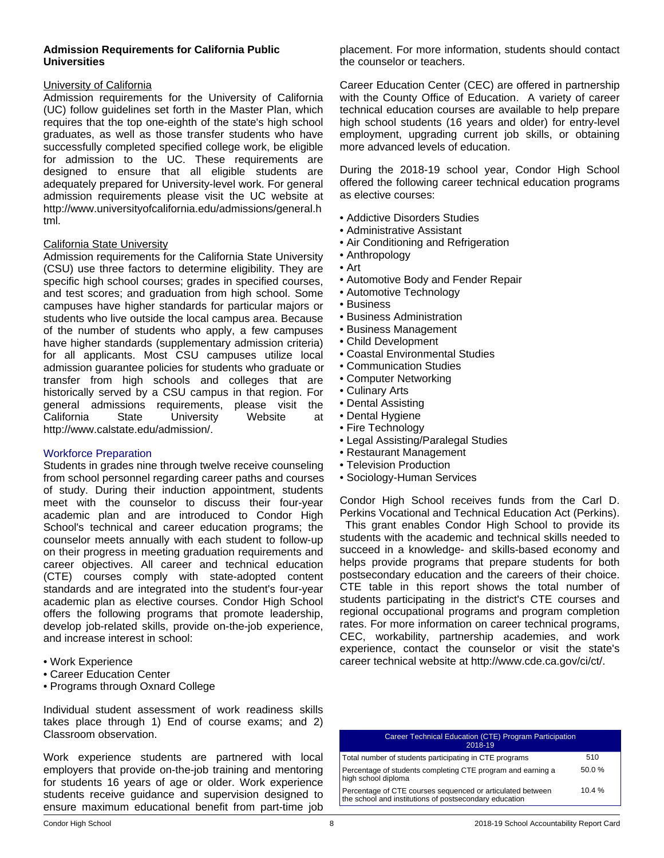### **Admission Requirements for California Public Universities**

### University of California

Admission requirements for the University of California (UC) follow guidelines set forth in the Master Plan, which requires that the top one-eighth of the state's high school graduates, as well as those transfer students who have successfully completed specified college work, be eligible for admission to the UC. These requirements are designed to ensure that all eligible students are adequately prepared for University-level work. For general admission requirements please visit the UC website at http://www.universityofcalifornia.edu/admissions/general.h tml.

### California State University

Admission requirements for the California State University (CSU) use three factors to determine eligibility. They are specific high school courses; grades in specified courses, and test scores; and graduation from high school. Some campuses have higher standards for particular majors or students who live outside the local campus area. Because of the number of students who apply, a few campuses have higher standards (supplementary admission criteria) for all applicants. Most CSU campuses utilize local admission guarantee policies for students who graduate or transfer from high schools and colleges that are historically served by a CSU campus in that region. For general admissions requirements, please visit the California State University Website at http://www.calstate.edu/admission/.

### Workforce Preparation

Students in grades nine through twelve receive counseling from school personnel regarding career paths and courses of study. During their induction appointment, students meet with the counselor to discuss their four-year academic plan and are introduced to Condor High School's technical and career education programs; the counselor meets annually with each student to follow-up on their progress in meeting graduation requirements and career objectives. All career and technical education (CTE) courses comply with state-adopted content standards and are integrated into the student's four-year academic plan as elective courses. Condor High School offers the following programs that promote leadership, develop job-related skills, provide on-the-job experience, and increase interest in school:

- Work Experience
- Career Education Center
- Programs through Oxnard College

Individual student assessment of work readiness skills takes place through 1) End of course exams; and 2) Classroom observation.

Work experience students are partnered with local employers that provide on-the-job training and mentoring for students 16 years of age or older. Work experience students receive guidance and supervision designed to ensure maximum educational benefit from part-time job

placement. For more information, students should contact the counselor or teachers.

Career Education Center (CEC) are offered in partnership with the County Office of Education. A variety of career technical education courses are available to help prepare high school students (16 years and older) for entry-level employment, upgrading current job skills, or obtaining more advanced levels of education.

During the 2018-19 school year, Condor High School offered the following career technical education programs as elective courses:

- Addictive Disorders Studies
- Administrative Assistant
- Air Conditioning and Refrigeration
- Anthropology
- Art
- Automotive Body and Fender Repair
- Automotive Technology
- Business
- Business Administration
- Business Management
- Child Development
- Coastal Environmental Studies
- Communication Studies
- Computer Networking
- Culinary Arts
- Dental Assisting
- Dental Hygiene
- Fire Technology
- Legal Assisting/Paralegal Studies
- Restaurant Management
- Television Production
- Sociology-Human Services

Condor High School receives funds from the Carl D. Perkins Vocational and Technical Education Act (Perkins).

 This grant enables Condor High School to provide its students with the academic and technical skills needed to succeed in a knowledge- and skills-based economy and helps provide programs that prepare students for both postsecondary education and the careers of their choice. CTE table in this report shows the total number of students participating in the district's CTE courses and regional occupational programs and program completion rates. For more information on career technical programs, CEC, workability, partnership academies, and work experience, contact the counselor or visit the state's career technical website at http://www.cde.ca.gov/ci/ct/.

| Career Technical Education (CTE) Program Participation<br>2018-19                                                    |       |
|----------------------------------------------------------------------------------------------------------------------|-------|
| Total number of students participating in CTE programs                                                               | 510   |
| Percentage of students completing CTE program and earning a<br>high school diploma                                   | 50.0% |
| Percentage of CTE courses sequenced or articulated between<br>the school and institutions of postsecondary education | 10.4% |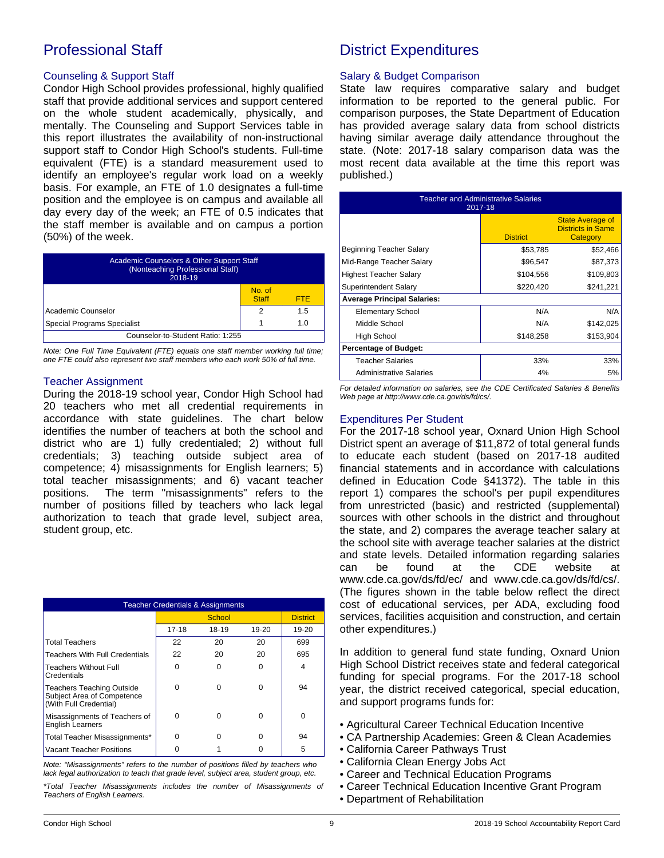# Professional Staff

### Counseling & Support Staff

Condor High School provides professional, highly qualified staff that provide additional services and support centered on the whole student academically, physically, and mentally. The Counseling and Support Services table in this report illustrates the availability of non-instructional support staff to Condor High School's students. Full-time equivalent (FTE) is a standard measurement used to identify an employee's regular work load on a weekly basis. For example, an FTE of 1.0 designates a full-time position and the employee is on campus and available all day every day of the week; an FTE of 0.5 indicates that the staff member is available and on campus a portion (50%) of the week.

| <b>Academic Counselors &amp; Other Support Staff</b><br>(Nonteaching Professional Staff)<br>2018-19 |                        |      |  |  |
|-----------------------------------------------------------------------------------------------------|------------------------|------|--|--|
|                                                                                                     | No. of<br><b>Staff</b> | FTF. |  |  |
| Academic Counselor                                                                                  | 2                      | 1.5  |  |  |
| Special Programs Specialist                                                                         |                        | 1 N  |  |  |
| Counselor-to-Student Ratio: 1:255                                                                   |                        |      |  |  |

*Note: One Full Time Equivalent (FTE) equals one staff member working full time; one FTE could also represent two staff members who each work 50% of full time.*

### Teacher Assignment

During the 2018-19 school year, Condor High School had 20 teachers who met all credential requirements in accordance with state guidelines. The chart below identifies the number of teachers at both the school and district who are 1) fully credentialed; 2) without full credentials; 3) teaching outside subject area of competence; 4) misassignments for English learners; 5) total teacher misassignments; and 6) vacant teacher positions. The term "misassignments" refers to the number of positions filled by teachers who lack legal authorization to teach that grade level, subject area, student group, etc.

| <b>Teacher Credentials &amp; Assignments</b>                                             |        |          |           |                 |
|------------------------------------------------------------------------------------------|--------|----------|-----------|-----------------|
|                                                                                          | School |          |           | <b>District</b> |
|                                                                                          | 17-18  | 18-19    | $19 - 20$ | 19-20           |
| <b>Total Teachers</b>                                                                    | 22     | 20       | 20        | 699             |
| <b>Teachers With Full Credentials</b>                                                    | 22     | 20       | 20        | 695             |
| <b>Teachers Without Full</b><br>Credentials                                              | ŋ      | $\Omega$ | O         | 4               |
| <b>Teachers Teaching Outside</b><br>Subject Area of Competence<br>(With Full Credential) | n      | ∩        | O         | 94              |
| Misassignments of Teachers of<br><b>English Learners</b>                                 | ŋ      | $\Omega$ | O         | $\Omega$        |
| Total Teacher Misassignments*                                                            | n      | 0        | U         | 94              |
| Vacant Teacher Positions                                                                 |        |          |           | 5               |

*Note: "Misassignments" refers to the number of positions filled by teachers who lack legal authorization to teach that grade level, subject area, student group, etc.*

*\*Total Teacher Misassignments includes the number of Misassignments of Teachers of English Learners.*

# District Expenditures

### Salary & Budget Comparison

State law requires comparative salary and budget information to be reported to the general public. For comparison purposes, the State Department of Education has provided average salary data from school districts having similar average daily attendance throughout the state. (Note: 2017-18 salary comparison data was the most recent data available at the time this report was published.)

| <b>Teacher and Administrative Salaries</b><br>2017-18 |                 |                                                                 |  |  |
|-------------------------------------------------------|-----------------|-----------------------------------------------------------------|--|--|
|                                                       | <b>District</b> | <b>State Average of</b><br><b>Districts in Same</b><br>Category |  |  |
| Beginning Teacher Salary                              | \$53,785        | \$52,466                                                        |  |  |
| Mid-Range Teacher Salary                              | \$96,547        | \$87,373                                                        |  |  |
| <b>Highest Teacher Salary</b>                         | \$104,556       | \$109,803                                                       |  |  |
| Superintendent Salary                                 | \$220,420       | \$241,221                                                       |  |  |
| <b>Average Principal Salaries:</b>                    |                 |                                                                 |  |  |
| <b>Elementary School</b>                              | N/A             | N/A                                                             |  |  |
| Middle School                                         | N/A             | \$142,025                                                       |  |  |
| High School                                           | \$148,258       | \$153,904                                                       |  |  |
| <b>Percentage of Budget:</b>                          |                 |                                                                 |  |  |
| Teacher Salaries                                      | 33%             | 33%                                                             |  |  |
| <b>Administrative Salaries</b>                        | 4%              | 5%                                                              |  |  |

*For detailed information on salaries, see the CDE Certificated Salaries & Benefits Web page at http://www.cde.ca.gov/ds/fd/cs/.*

### Expenditures Per Student

For the 2017-18 school year, Oxnard Union High School District spent an average of \$11,872 of total general funds to educate each student (based on 2017-18 audited financial statements and in accordance with calculations defined in Education Code §41372). The table in this report 1) compares the school's per pupil expenditures from unrestricted (basic) and restricted (supplemental) sources with other schools in the district and throughout the state, and 2) compares the average teacher salary at the school site with average teacher salaries at the district and state levels. Detailed information regarding salaries can be found at the CDE website at www.cde.ca.gov/ds/fd/ec/ and www.cde.ca.gov/ds/fd/cs/. (The figures shown in the table below reflect the direct cost of educational services, per ADA, excluding food services, facilities acquisition and construction, and certain other expenditures.)

In addition to general fund state funding, Oxnard Union High School District receives state and federal categorical funding for special programs. For the 2017-18 school year, the district received categorical, special education, and support programs funds for:

- Agricultural Career Technical Education Incentive
- CA Partnership Academies: Green & Clean Academies
- California Career Pathways Trust
- California Clean Energy Jobs Act
- Career and Technical Education Programs
- Career Technical Education Incentive Grant Program
- Department of Rehabilitation